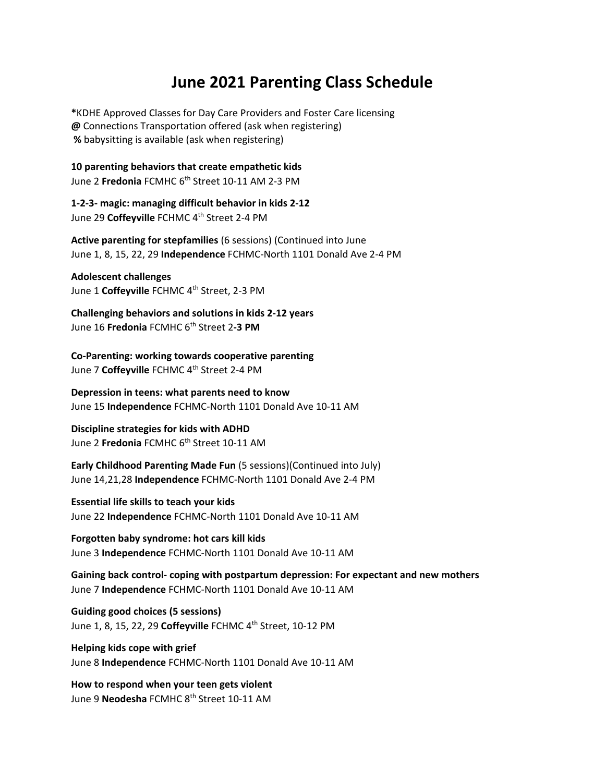## **June 2021 Parenting Class Schedule**

**\***KDHE Approved Classes for Day Care Providers and Foster Care licensing **@** Connections Transportation offered (ask when registering) **%** babysitting is available (ask when registering)

**10 parenting behaviors that create empathetic kids** June 2 **Fredonia** FCMHC 6<sup>th</sup> Street 10-11 AM 2-3 PM

**1‐2‐3‐ magic: managing difficult behavior in kids 2‐12**  June 29 Coffeyville FCHMC 4<sup>th</sup> Street 2-4 PM

**Active parenting for stepfamilies** (6 sessions) (Continued into June June 1, 8, 15, 22, 29 **Independence** FCHMC‐North 1101 Donald Ave 2‐4 PM

**Adolescent challenges** June 1 Coffeyville FCHMC 4<sup>th</sup> Street, 2-3 PM

**Challenging behaviors and solutions in kids 2‐12 years** June 16 **Fredonia** FCMHC 6th Street 2**‐3 PM**

**Co‐Parenting: working towards cooperative parenting** June 7 Coffeyville FCHMC 4<sup>th</sup> Street 2-4 PM

**Depression in teens: what parents need to know** June 15 **Independence** FCHMC‐North 1101 Donald Ave 10‐11 AM

**Discipline strategies for kids with ADHD** June 2 **Fredonia** FCMHC 6<sup>th</sup> Street 10-11 AM

**Early Childhood Parenting Made Fun** (5 sessions)(Continued into July) June 14,21,28 **Independence** FCHMC‐North 1101 Donald Ave 2‐4 PM

**Essential life skills to teach your kids** June 22 **Independence** FCHMC‐North 1101 Donald Ave 10‐11 AM

**Forgotten baby syndrome: hot cars kill kids** June 3 **Independence** FCHMC‐North 1101 Donald Ave 10‐11 AM

**Gaining back control‐ coping with postpartum depression: For expectant and new mothers** June 7 **Independence** FCHMC‐North 1101 Donald Ave 10‐11 AM

**Guiding good choices (5 sessions)**  June 1, 8, 15, 22, 29 **Coffeyville** FCHMC 4th Street, 10‐12 PM

**Helping kids cope with grief** June 8 **Independence** FCHMC‐North 1101 Donald Ave 10‐11 AM

**How to respond when your teen gets violent** June 9 **Neodesha** FCMHC 8th Street 10‐11 AM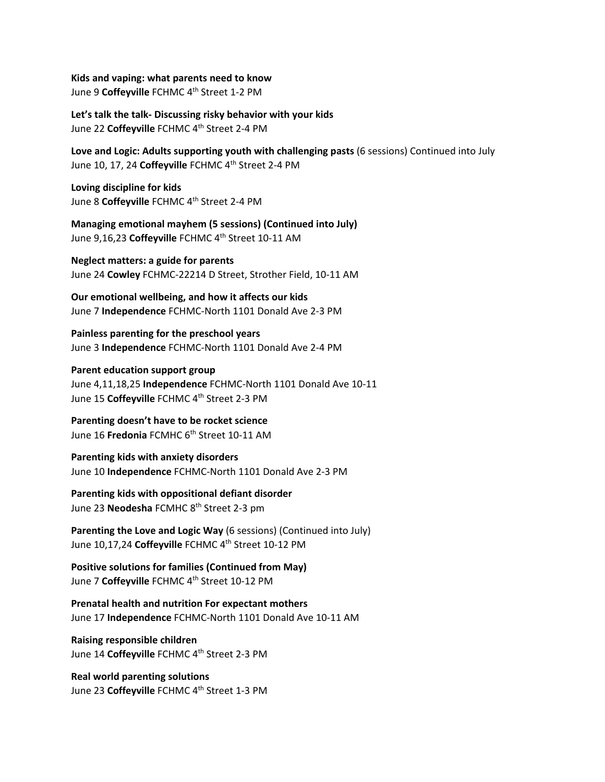**Kids and vaping: what parents need to know** June 9 Coffeyville FCHMC 4<sup>th</sup> Street 1-2 PM

**Let's talk the talk‐ Discussing risky behavior with your kids** June 22 Coffeyville FCHMC 4<sup>th</sup> Street 2-4 PM

**Love and Logic: Adults supporting youth with challenging pasts** (6 sessions) Continued into July June 10, 17, 24 Coffeyville FCHMC 4<sup>th</sup> Street 2-4 PM

**Loving discipline for kids**  June 8 **Coffeyville** FCHMC 4th Street 2‐4 PM

**Managing emotional mayhem (5 sessions) (Continued into July)** June 9,16,23 Coffeyville FCHMC 4<sup>th</sup> Street 10-11 AM

**Neglect matters: a guide for parents** June 24 **Cowley** FCHMC‐22214 D Street, Strother Field, 10‐11 AM

**Our emotional wellbeing, and how it affects our kids** June 7 **Independence** FCHMC‐North 1101 Donald Ave 2‐3 PM

**Painless parenting for the preschool years**  June 3 **Independence** FCHMC‐North 1101 Donald Ave 2‐4 PM

**Parent education support group** June 4,11,18,25 **Independence** FCHMC‐North 1101 Donald Ave 10‐11 June 15 Coffeyville FCHMC 4<sup>th</sup> Street 2-3 PM

**Parenting doesn't have to be rocket science** June 16 **Fredonia** FCMHC 6th Street 10‐11 AM

**Parenting kids with anxiety disorders** June 10 **Independence** FCHMC‐North 1101 Donald Ave 2‐3 PM

**Parenting kids with oppositional defiant disorder** June 23 **Neodesha** FCMHC 8<sup>th</sup> Street 2-3 pm

**Parenting the Love and Logic Way** (6 sessions) (Continued into July) June 10,17,24 **Coffeyville** FCHMC 4th Street 10‐12 PM

**Positive solutions for families (Continued from May)** June 7 Coffeyville FCHMC 4<sup>th</sup> Street 10-12 PM

**Prenatal health and nutrition For expectant mothers** June 17 **Independence** FCHMC‐North 1101 Donald Ave 10‐11 AM

**Raising responsible children** June 14 Coffeyville FCHMC 4<sup>th</sup> Street 2-3 PM

**Real world parenting solutions** June 23 Coffeyville FCHMC 4<sup>th</sup> Street 1-3 PM